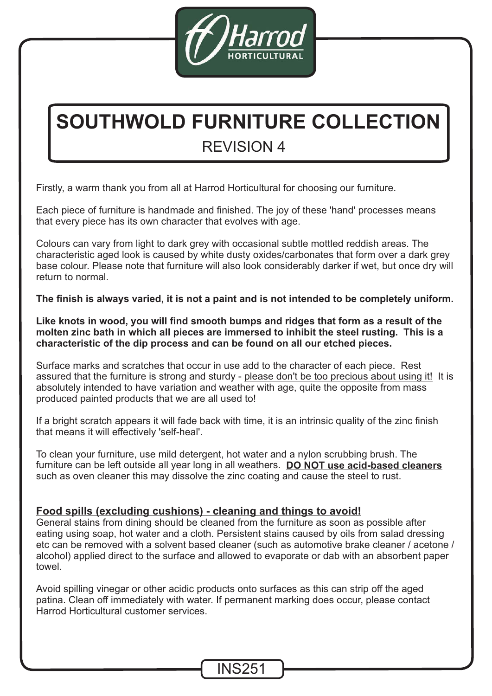

# REVISION 4 **SOUTHWOLD FURNITURE COLLECTION**

Firstly, a warm thank you from all at Harrod Horticultural for choosing our furniture.

Each piece of furniture is handmade and finished. The joy of these 'hand' processes means that every piece has its own character that evolves with age.

Colours can vary from light to dark grey with occasional subtle mottled reddish areas. The characteristic aged look is caused by white dusty oxides/carbonates that form over a dark grey base colour. Please note that furniture will also look considerably darker if wet, but once dry will return to normal.

**The finish is always varied, it is not a paint and is not intended to be completely uniform.**

**Like knots in wood, you will find smooth bumps and ridges that form as a result of the molten zinc bath in which all pieces are immersed to inhibit the steel rusting. This is a characteristic of the dip process and can be found on all our etched pieces.**

Surface marks and scratches that occur in use add to the character of each piece. Rest assured that the furniture is strong and sturdy - <u>please don't be too precious about using it!</u> It is absolutely intended to have variation and weather with age, quite the opposite from mass produced painted products that we are all used to!

If a bright scratch appears it will fade back with time, it is an intrinsic quality of the zinc finish that means it will effectively 'self-heal'.

To clean your furniture, use mild detergent, hot water and a nylon scrubbing brush. The furniture can be left outside all year long in all weathers. **DO NOT use acid-based cleaners** such as oven cleaner this may dissolve the zinc coating and cause the steel to rust.

## **Food spills (excluding cushions) - cleaning and things to avoid!**

General stains from dining should be cleaned from the furniture as soon as possible after eating using soap, hot water and a cloth. Persistent stains caused by oils from salad dressing etc can be removed with a solvent based cleaner (such as automotive brake cleaner / acetone / alcohol) applied direct to the surface and allowed to evaporate or dab with an absorbent paper towel.

Avoid spilling vinegar or other acidic products onto surfaces as this can strip off the aged patina. Clean off immediately with water. If permanent marking does occur, please contact Harrod Horticultural customer services.

INS251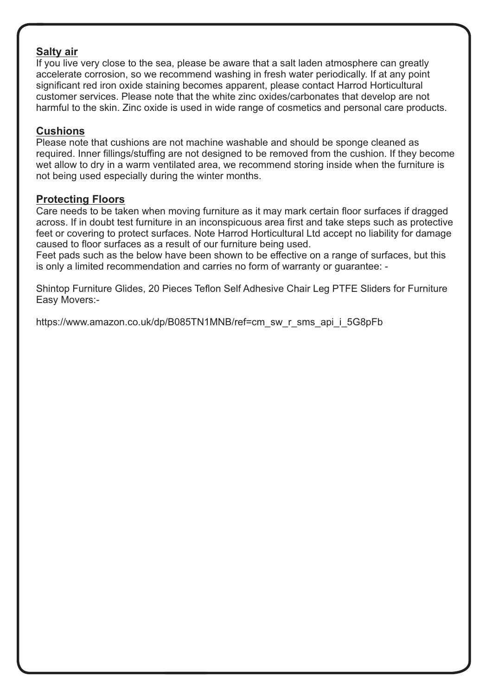#### **Salty air**

If you live very close to the sea, please be aware that a salt laden atmosphere can greatly accelerate corrosion, so we recommend washing in fresh water periodically. If at any point significant red iron oxide staining becomes apparent, please contact Harrod Horticultural customer services. Please note that the white zinc oxides/carbonates that develop are not harmful to the skin. Zinc oxide is used in wide range of cosmetics and personal care products.

#### **Cushions**

Please note that cushions are not machine washable and should be sponge cleaned as required. Inner fillings/stuffing are not designed to be removed from the cushion. If they become wet allow to dry in a warm ventilated area, we recommend storing inside when the furniture is not being used especially during the winter months.

### **Protecting Floors**

Care needs to be taken when moving furniture as it may mark certain floor surfaces if dragged across. If in doubt test furniture in an inconspicuous area first and take steps such as protective feet or covering to protect surfaces. Note Harrod Horticultural Ltd accept no liability for damage caused to floor surfaces as a result of our furniture being used.

Feet pads such as the below have been shown to be effective on a range of surfaces, but this is only a limited recommendation and carries no form of warranty or guarantee: -

Shintop Furniture Glides, 20 Pieces Teflon Self Adhesive Chair Leg PTFE Sliders for Furniture Easy Movers:-

https://www.amazon.co.uk/dp/B085TN1MNB/ref=cm\_sw\_r\_sms\_api\_i\_5G8pFb